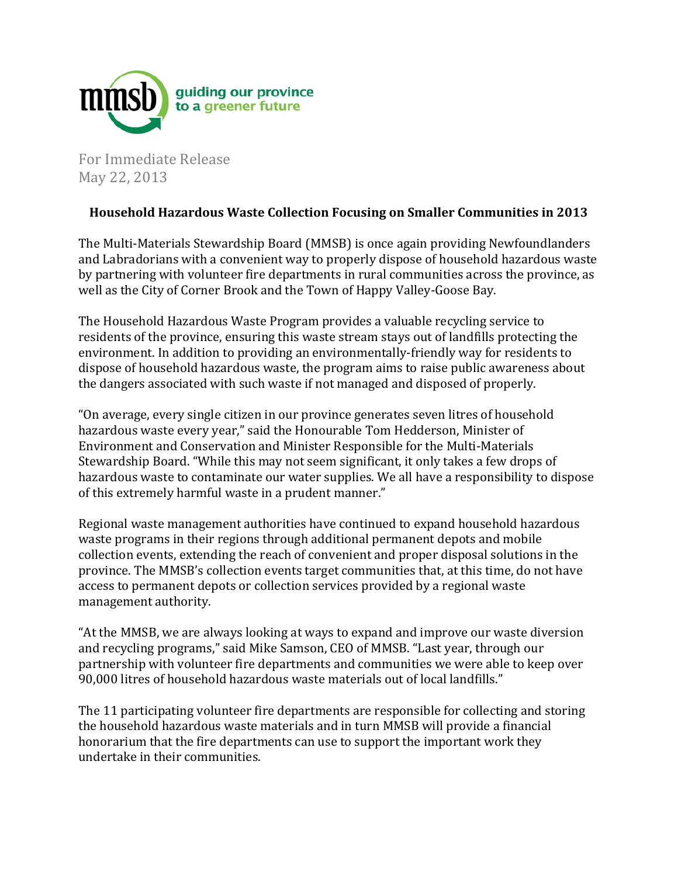

For Immediate Release May 22, 2013

## **Household Hazardous Waste Collection Focusing on Smaller Communities in 2013**

The Multi-Materials Stewardship Board (MMSB) is once again providing Newfoundlanders and Labradorians with a convenient way to properly dispose of household hazardous waste by partnering with volunteer fire departments in rural communities across the province, as well as the City of Corner Brook and the Town of Happy Valley-Goose Bay.

The Household Hazardous Waste Program provides a valuable recycling service to residents of the province, ensuring this waste stream stays out of landfills protecting the environment. In addition to providing an environmentally-friendly way for residents to dispose of household hazardous waste, the program aims to raise public awareness about the dangers associated with such waste if not managed and disposed of properly.

"On average, every single citizen in our province generates seven litres of household hazardous waste every year," said the Honourable Tom Hedderson, Minister of Environment and Conservation and Minister Responsible for the Multi-Materials Stewardship Board. "While this may not seem significant, it only takes a few drops of hazardous waste to contaminate our water supplies. We all have a responsibility to dispose of this extremely harmful waste in a prudent manner."

Regional waste management authorities have continued to expand household hazardous waste programs in their regions through additional permanent depots and mobile collection events, extending the reach of convenient and proper disposal solutions in the province. The MMSB's collection events target communities that, at this time, do not have access to permanent depots or collection services provided by a regional waste management authority.

"At the MMSB, we are always looking at ways to expand and improve our waste diversion and recycling programs," said Mike Samson, CEO of MMSB. "Last year, through our partnership with volunteer fire departments and communities we were able to keep over 90,000 litres of household hazardous waste materials out of local landfills."

The 11 participating volunteer fire departments are responsible for collecting and storing the household hazardous waste materials and in turn MMSB will provide a financial honorarium that the fire departments can use to support the important work they undertake in their communities.